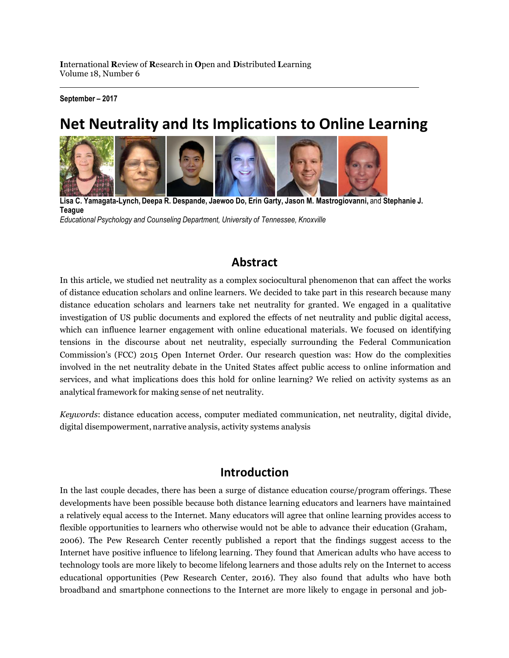**September – 2017**

# **Net Neutrality and Its Implications to Online Learning**



**Lisa C. Yamagata-Lynch, Deepa R. Despande, Jaewoo Do, Erin Garty, Jason M. Mastrogiovanni,** and **Stephanie J. Teague** *Educational Psychology and Counseling Department, University of Tennessee, Knoxville*

### **Abstract**

In this article, we studied net neutrality as a complex sociocultural phenomenon that can affect the works of distance education scholars and online learners. We decided to take part in this research because many distance education scholars and learners take net neutrality for granted. We engaged in a qualitative investigation of US public documents and explored the effects of net neutrality and public digital access, which can influence learner engagement with online educational materials. We focused on identifying tensions in the discourse about net neutrality, especially surrounding the Federal Communication Commission's (FCC) 2015 Open Internet Order. Our research question was: How do the complexities involved in the net neutrality debate in the United States affect public access to online information and services, and what implications does this hold for online learning? We relied on activity systems as an analytical framework for making sense of net neutrality.

*Keywords*: distance education access, computer mediated communication, net neutrality, digital divide, digital disempowerment, narrative analysis, activity systems analysis

### **Introduction**

In the last couple decades, there has been a surge of distance education course/program offerings. These developments have been possible because both distance learning educators and learners have maintained a relatively equal access to the Internet. Many educators will agree that online learning provides access to flexible opportunities to learners who otherwise would not be able to advance their education (Graham, 2006). The Pew Research Center recently published a report that the findings suggest access to the Internet have positive influence to lifelong learning. They found that American adults who have access to technology tools are more likely to become lifelong learners and those adults rely on the Internet to access educational opportunities (Pew Research Center, 2016). They also found that adults who have both broadband and smartphone connections to the Internet are more likely to engage in personal and job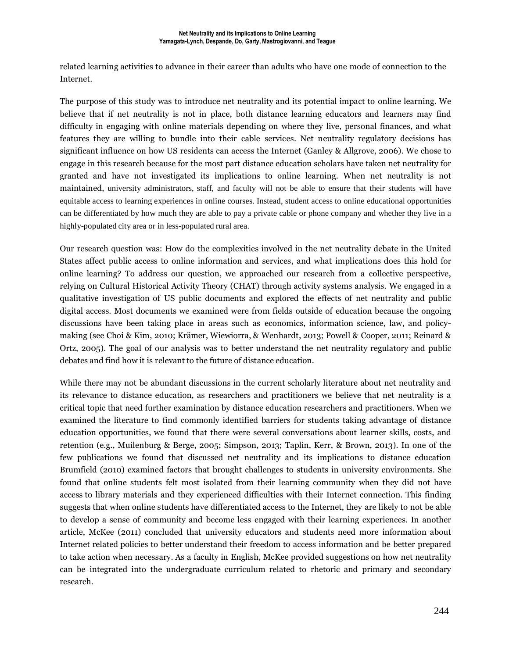related learning activities to advance in their career than adults who have one mode of connection to the Internet.

The purpose of this study was to introduce net neutrality and its potential impact to online learning. We believe that if net neutrality is not in place, both distance learning educators and learners may find difficulty in engaging with online materials depending on where they live, personal finances, and what features they are willing to bundle into their cable services. Net neutrality regulatory decisions has significant influence on how US residents can access the Internet (Ganley & Allgrove, 2006). We chose to engage in this research because for the most part distance education scholars have taken net neutrality for granted and have not investigated its implications to online learning. When net neutrality is not maintained, university administrators, staff, and faculty will not be able to ensure that their students will have equitable access to learning experiences in online courses. Instead, student access to online educational opportunities can be differentiated by how much they are able to pay a private cable or phone company and whether they live in a highly-populated city area or in less-populated rural area.

Our research question was: How do the complexities involved in the net neutrality debate in the United States affect public access to online information and services, and what implications does this hold for online learning? To address our question, we approached our research from a collective perspective, relying on Cultural Historical Activity Theory (CHAT) through activity systems analysis. We engaged in a qualitative investigation of US public documents and explored the effects of net neutrality and public digital access. Most documents we examined were from fields outside of education because the ongoing discussions have been taking place in areas such as economics, information science, law, and policymaking (see Choi & Kim, 2010; Krämer, Wiewiorra, & Wenhardt, 2013; Powell & Cooper, 2011; Reinard & Ortz, 2005). The goal of our analysis was to better understand the net neutrality regulatory and public debates and find how it is relevant to the future of distance education.

While there may not be abundant discussions in the current scholarly literature about net neutrality and its relevance to distance education, as researchers and practitioners we believe that net neutrality is a critical topic that need further examination by distance education researchers and practitioners. When we examined the literature to find commonly identified barriers for students taking advantage of distance education opportunities, we found that there were several conversations about learner skills, costs, and retention (e.g., Muilenburg & Berge, 2005; Simpson, 2013; Taplin, Kerr, & Brown, 2013). In one of the few publications we found that discussed net neutrality and its implications to distance education Brumfield (2010) examined factors that brought challenges to students in university environments. She found that online students felt most isolated from their learning community when they did not have access to library materials and they experienced difficulties with their Internet connection. This finding suggests that when online students have differentiated access to the Internet, they are likely to not be able to develop a sense of community and become less engaged with their learning experiences. In another article, McKee (2011) concluded that university educators and students need more information about Internet related policies to better understand their freedom to access information and be better prepared to take action when necessary. As a faculty in English, McKee provided suggestions on how net neutrality can be integrated into the undergraduate curriculum related to rhetoric and primary and secondary research.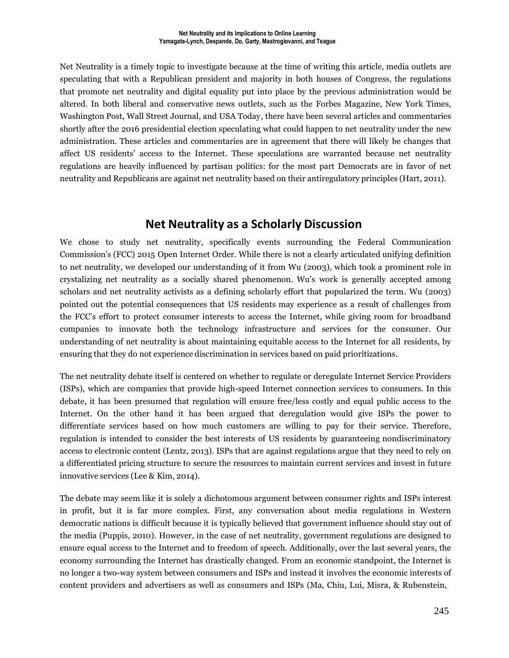Net Neutrality is a timely topic to investigate because at the time of writing this article, media outlets are speculating that with a Republican president and majority in both houses of Congress, the regulations that promote net neutrality and digital equality put into place by the previous administration would be altered. In both liberal and conservative news outlets, such as the Forbes Magazine, New York Times, Washington Post, Wall Street Journal, and USA Today, there have been several articles and commentaries shortly after the 2016 presidential election speculating what could happen to net neutrality under the new administration. These articles and commentaries are in agreement that there will likely be changes that affect US residents' access to the Internet. These speculations are warranted because net neutrality regulations are heavily influenced by partisan politics: for the most part Democrats are in favor of net neutrality and Republicans are against net neutrality based on their antiregulatory principles (Hart, 2011).

### **Net Neutrality as a Scholarly Discussion**

We chose to study net neutrality, specifically events surrounding the Federal Communication Commission's (FCC) 2015 Open Internet Order. While there is not a clearly articulated unifying definition to net neutrality, we developed our understanding of it from Wu (2003), which took a prominent role in crystalizing net neutrality as a socially shared phenomenon. Wu's work is generally accepted among scholars and net neutrality activists as a defining scholarly effort that popularized the term. Wu (2003) pointed out the potential consequences that US residents may experience as a result of challenges from the FCC's effort to protect consumer interests to access the Internet, while giving room for broadband companies to innovate both the technology infrastructure and services for the consumer. Our understanding of net neutrality is about maintaining equitable access to the Internet for all residents, by ensuring that they do not experience discrimination in services based on paid prioritizations.

The net neutrality debate itself is centered on whether to regulate or deregulate Internet Service Providers (ISPs), which are companies that provide high-speed Internet connection services to consumers. In this debate, it has been presumed that regulation will ensure free/less costly and equal public access to the Internet. On the other hand it has been argued that deregulation would give ISPs the power to differentiate services based on how much customers are willing to pay for their service. Therefore, regulation is intended to consider the best interests of US residents by guaranteeing nondiscriminatory access to electronic content (Lentz, 2013). ISPs that are against regulations argue that they need to rely on a differentiated pricing structure to secure the resources to maintain current services and invest in future innovative services (Lee & Kim, 2014).

The debate may seem like it is solely a dichotomous argument between consumer rights and ISPs interest in profit, but it is far more complex. First, any conversation about media regulations in Western democratic nations is difficult because it is typically believed that government influence should stay out of the media (Puppis, 2010). However, in the case of net neutrality, government regulations are designed to ensure equal access to the Internet and to freedom of speech. Additionally, over the last several years, the economy surrounding the Internet has drastically changed. From an economic standpoint, the Internet is no longer a two-way system between consumers and ISPs and instead it involves the economic interests of content providers and advertisers as well as consumers and ISPs (Ma, Chiu, Lui, Misra, & Rubenstein,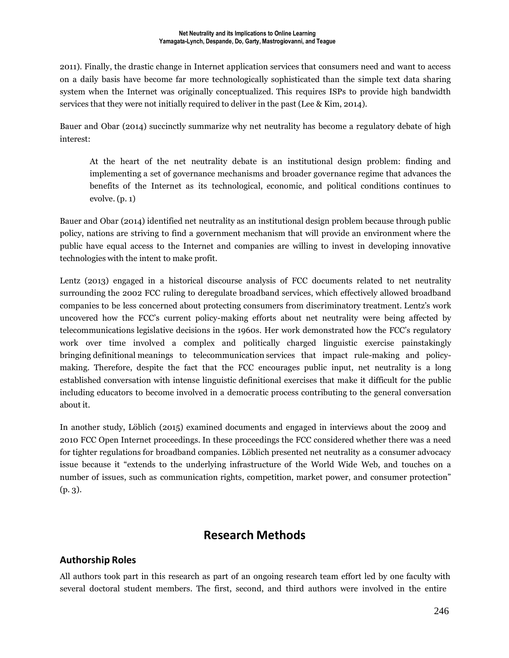2011). Finally, the drastic change in Internet application services that consumers need and want to access on a daily basis have become far more technologically sophisticated than the simple text data sharing system when the Internet was originally conceptualized. This requires ISPs to provide high bandwidth services that they were not initially required to deliver in the past (Lee & Kim, 2014).

Bauer and Obar (2014) succinctly summarize why net neutrality has become a regulatory debate of high interest:

At the heart of the net neutrality debate is an institutional design problem: finding and implementing a set of governance mechanisms and broader governance regime that advances the benefits of the Internet as its technological, economic, and political conditions continues to evolve. (p. 1)

Bauer and Obar (2014) identified net neutrality as an institutional design problem because through public policy, nations are striving to find a government mechanism that will provide an environment where the public have equal access to the Internet and companies are willing to invest in developing innovative technologies with the intent to make profit.

Lentz (2013) engaged in a historical discourse analysis of FCC documents related to net neutrality surrounding the 2002 FCC ruling to deregulate broadband services, which effectively allowed broadband companies to be less concerned about protecting consumers from discriminatory treatment. Lentz's work uncovered how the FCC's current policy-making efforts about net neutrality were being affected by telecommunications legislative decisions in the 1960s. Her work demonstrated how the FCC's regulatory work over time involved a complex and politically charged linguistic exercise painstakingly bringing definitional meanings to telecommunication services that impact rule-making and policymaking. Therefore, despite the fact that the FCC encourages public input, net neutrality is a long established conversation with intense linguistic definitional exercises that make it difficult for the public including educators to become involved in a democratic process contributing to the general conversation about it.

In another study, Löblich (2015) examined documents and engaged in interviews about the 2009 and 2010 FCC Open Internet proceedings. In these proceedings the FCC considered whether there was a need for tighter regulations for broadband companies. Löblich presented net neutrality as a consumer advocacy issue because it "extends to the underlying infrastructure of the World Wide Web, and touches on a number of issues, such as communication rights, competition, market power, and consumer protection" (p. 3).

### **Research Methods**

### **Authorship Roles**

All authors took part in this research as part of an ongoing research team effort led by one faculty with several doctoral student members. The first, second, and third authors were involved in the entire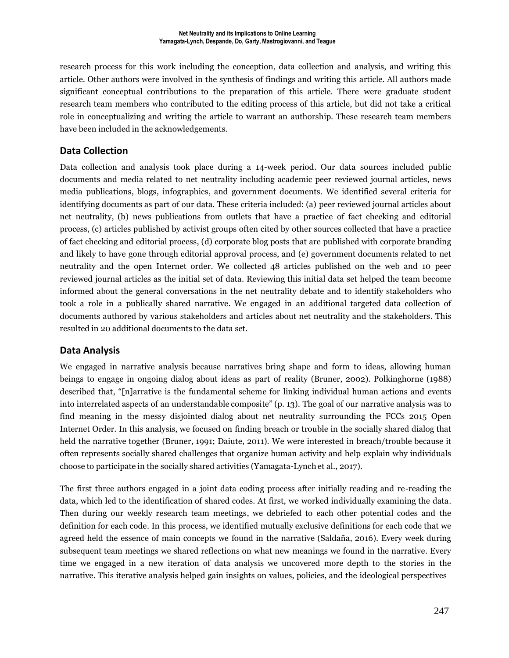research process for this work including the conception, data collection and analysis, and writing this article. Other authors were involved in the synthesis of findings and writing this article. All authors made significant conceptual contributions to the preparation of this article. There were graduate student research team members who contributed to the editing process of this article, but did not take a critical role in conceptualizing and writing the article to warrant an authorship. These research team members have been included in the acknowledgements.

### **Data Collection**

Data collection and analysis took place during a 14-week period. Our data sources included public documents and media related to net neutrality including academic peer reviewed journal articles, news media publications, blogs, infographics, and government documents. We identified several criteria for identifying documents as part of our data. These criteria included: (a) peer reviewed journal articles about net neutrality, (b) news publications from outlets that have a practice of fact checking and editorial process, (c) articles published by activist groups often cited by other sources collected that have a practice of fact checking and editorial process, (d) corporate blog posts that are published with corporate branding and likely to have gone through editorial approval process, and (e) government documents related to net neutrality and the open Internet order. We collected 48 articles published on the web and 10 peer reviewed journal articles as the initial set of data. Reviewing this initial data set helped the team become informed about the general conversations in the net neutrality debate and to identify stakeholders who took a role in a publically shared narrative. We engaged in an additional targeted data collection of documents authored by various stakeholders and articles about net neutrality and the stakeholders. This resulted in 20 additional documents to the data set.

#### **Data Analysis**

We engaged in narrative analysis because narratives bring shape and form to ideas, allowing human beings to engage in ongoing dialog about ideas as part of reality (Bruner, 2002). Polkinghorne (1988) described that, "[n]arrative is the fundamental scheme for linking individual human actions and events into interrelated aspects of an understandable composite" (p. 13). The goal of our narrative analysis was to find meaning in the messy disjointed dialog about net neutrality surrounding the FCCs 2015 Open Internet Order. In this analysis, we focused on finding breach or trouble in the socially shared dialog that held the narrative together (Bruner, 1991; Daiute, 2011). We were interested in breach/trouble because it often represents socially shared challenges that organize human activity and help explain why individuals choose to participate in the socially shared activities (Yamagata-Lynch et al., 2017).

The first three authors engaged in a joint data coding process after initially reading and re-reading the data, which led to the identification of shared codes. At first, we worked individually examining the data. Then during our weekly research team meetings, we debriefed to each other potential codes and the definition for each code. In this process, we identified mutually exclusive definitions for each code that we agreed held the essence of main concepts we found in the narrative (Saldaña, 2016). Every week during subsequent team meetings we shared reflections on what new meanings we found in the narrative. Every time we engaged in a new iteration of data analysis we uncovered more depth to the stories in the narrative. This iterative analysis helped gain insights on values, policies, and the ideological perspectives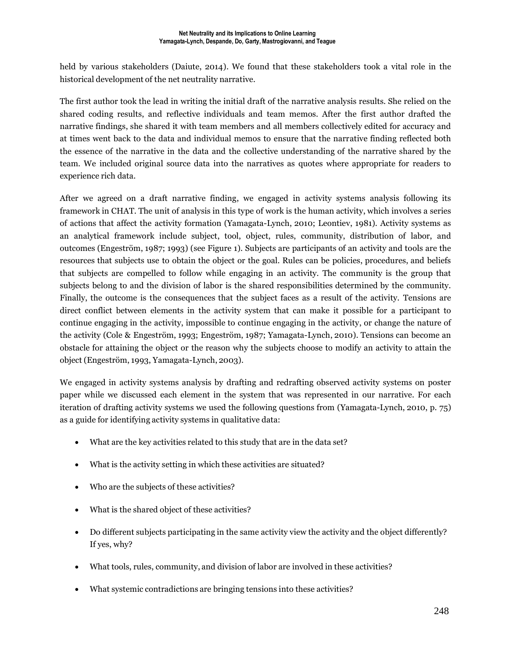held by various stakeholders (Daiute, 2014). We found that these stakeholders took a vital role in the historical development of the net neutrality narrative.

The first author took the lead in writing the initial draft of the narrative analysis results. She relied on the shared coding results, and reflective individuals and team memos. After the first author drafted the narrative findings, she shared it with team members and all members collectively edited for accuracy and at times went back to the data and individual memos to ensure that the narrative finding reflected both the essence of the narrative in the data and the collective understanding of the narrative shared by the team. We included original source data into the narratives as quotes where appropriate for readers to experience rich data.

After we agreed on a draft narrative finding, we engaged in activity systems analysis following its framework in CHAT. The unit of analysis in this type of work is the human activity, which involves a series of actions that affect the activity formation (Yamagata-Lynch, 2010; Leontiev, 1981). Activity systems as an analytical framework include subject, tool, object, rules, community, distribution of labor, and outcomes (Engeström, 1987; 1993) (see Figure 1). Subjects are participants of an activity and tools are the resources that subjects use to obtain the object or the goal. Rules can be policies, procedures, and beliefs that subjects are compelled to follow while engaging in an activity. The community is the group that subjects belong to and the division of labor is the shared responsibilities determined by the community. Finally, the outcome is the consequences that the subject faces as a result of the activity. Tensions are direct conflict between elements in the activity system that can make it possible for a participant to continue engaging in the activity, impossible to continue engaging in the activity, or change the nature of the activity (Cole & Engeström, 1993; Engeström, 1987; Yamagata-Lynch, 2010). Tensions can become an obstacle for attaining the object or the reason why the subjects choose to modify an activity to attain the object (Engeström, 1993, Yamagata-Lynch, 2003).

We engaged in activity systems analysis by drafting and redrafting observed activity systems on poster paper while we discussed each element in the system that was represented in our narrative. For each iteration of drafting activity systems we used the following questions from (Yamagata-Lynch, 2010, p. 75) as a guide for identifying activity systems in qualitative data:

- What are the key activities related to this study that are in the data set?
- What is the activity setting in which these activities are situated?
- Who are the subjects of these activities?
- What is the shared object of these activities?
- Do different subjects participating in the same activity view the activity and the object differently? If yes, why?
- What tools, rules, community, and division of labor are involved in these activities?
- What systemic contradictions are bringing tensions into these activities?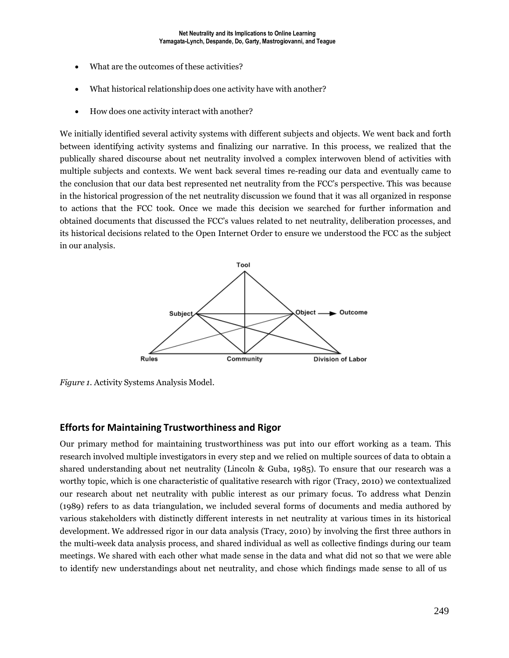- What are the outcomes of these activities?
- What historical relationship does one activity have with another?
- How does one activity interact with another?

We initially identified several activity systems with different subjects and objects. We went back and forth between identifying activity systems and finalizing our narrative. In this process, we realized that the publically shared discourse about net neutrality involved a complex interwoven blend of activities with multiple subjects and contexts. We went back several times re-reading our data and eventually came to the conclusion that our data best represented net neutrality from the FCC's perspective. This was because in the historical progression of the net neutrality discussion we found that it was all organized in response to actions that the FCC took. Once we made this decision we searched for further information and obtained documents that discussed the FCC's values related to net neutrality, deliberation processes, and its historical decisions related to the Open Internet Order to ensure we understood the FCC as the subject in our analysis.



*Figure 1.* Activity Systems Analysis Model.

#### **Efforts for Maintaining Trustworthiness and Rigor**

Our primary method for maintaining trustworthiness was put into our effort working as a team. This research involved multiple investigators in every step and we relied on multiple sources of data to obtain a shared understanding about net neutrality (Lincoln & Guba, 1985). To ensure that our research was a worthy topic, which is one characteristic of qualitative research with rigor (Tracy, 2010) we contextualized our research about net neutrality with public interest as our primary focus. To address what Denzin (1989) refers to as data triangulation, we included several forms of documents and media authored by various stakeholders with distinctly different interests in net neutrality at various times in its historical development. We addressed rigor in our data analysis (Tracy, 2010) by involving the first three authors in the multi-week data analysis process, and shared individual as well as collective findings during our team meetings. We shared with each other what made sense in the data and what did not so that we were able to identify new understandings about net neutrality, and chose which findings made sense to all of us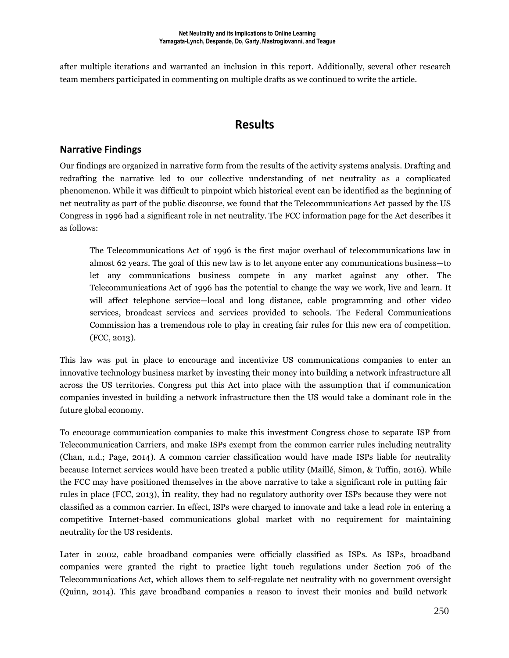after multiple iterations and warranted an inclusion in this report. Additionally, several other research team members participated in commenting on multiple drafts as we continued to write the article.

### **Results**

#### **Narrative Findings**

Our findings are organized in narrative form from the results of the activity systems analysis. Drafting and redrafting the narrative led to our collective understanding of net neutrality as a complicated phenomenon. While it was difficult to pinpoint which historical event can be identified as the beginning of net neutrality as part of the public discourse, we found that the Telecommunications Act passed by the US Congress in 1996 had a significant role in net neutrality. The FCC information page for the Act describes it as follows:

The Telecommunications Act of 1996 is the first major overhaul of telecommunications law in almost 62 years. The goal of this new law is to let anyone enter any communications business—to let any communications business compete in any market against any other. The Telecommunications Act of 1996 has the potential to change the way we work, live and learn. It will affect telephone service—local and long distance, cable programming and other video services, broadcast services and services provided to schools. The Federal Communications Commission has a tremendous role to play in creating fair rules for this new era of competition. (FCC, 2013).

This law was put in place to encourage and incentivize US communications companies to enter an innovative technology business market by investing their money into building a network infrastructure all across the US territories. Congress put this Act into place with the assumption that if communication companies invested in building a network infrastructure then the US would take a dominant role in the future global economy.

To encourage communication companies to make this investment Congress chose to separate ISP from Telecommunication Carriers, and make ISPs exempt from the common carrier rules including neutrality (Chan, n.d.; Page, 2014). A common carrier classification would have made ISPs liable for neutrality because Internet services would have been treated a public utility (Maillé, Simon, & Tuffin, 2016). While the FCC may have positioned themselves in the above narrative to take a significant role in putting fair rules in place (FCC, 2013), in reality, they had no regulatory authority over ISPs because they were not classified as a common carrier. In effect, ISPs were charged to innovate and take a lead role in entering a competitive Internet-based communications global market with no requirement for maintaining neutrality for the US residents.

Later in 2002, cable broadband companies were officially classified as ISPs. As ISPs, broadband companies were granted the right to practice light touch regulations under Section 706 of the Telecommunications Act, which allows them to self-regulate net neutrality with no government oversight (Quinn, 2014). This gave broadband companies a reason to invest their monies and build network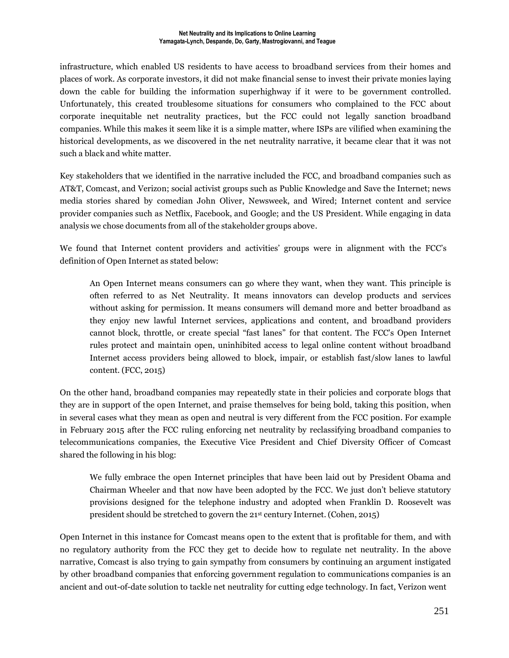infrastructure, which enabled US residents to have access to broadband services from their homes and places of work. As corporate investors, it did not make financial sense to invest their private monies laying down the cable for building the information superhighway if it were to be government controlled. Unfortunately, this created troublesome situations for consumers who complained to the FCC about corporate inequitable net neutrality practices, but the FCC could not legally sanction broadband companies. While this makes it seem like it is a simple matter, where ISPs are vilified when examining the historical developments, as we discovered in the net neutrality narrative, it became clear that it was not such a black and white matter.

Key stakeholders that we identified in the narrative included the FCC, and broadband companies such as AT&T, Comcast, and Verizon; social activist groups such as Public Knowledge and Save the Internet; news media stories shared by comedian John Oliver, Newsweek, and Wired; Internet content and service provider companies such as Netflix, Facebook, and Google; and the US President. While engaging in data analysis we chose documents from all of the stakeholder groups above.

We found that Internet content providers and activities' groups were in alignment with the FCC's definition of Open Internet as stated below:

An Open Internet means consumers can go where they want, when they want. This principle is often referred to as Net Neutrality. It means innovators can develop products and services without asking for permission. It means consumers will demand more and better broadband as they enjoy new lawful Internet services, applications and content, and broadband providers cannot block, throttle, or create special "fast lanes" for that content. The FCC's Open Internet rules protect and maintain open, uninhibited access to legal online content without broadband Internet access providers being allowed to block, impair, or establish fast/slow lanes to lawful content. (FCC, 2015)

On the other hand, broadband companies may repeatedly state in their policies and corporate blogs that they are in support of the open Internet, and praise themselves for being bold, taking this position, when in several cases what they mean as open and neutral is very different from the FCC position. For example in February 2015 after the FCC ruling enforcing net neutrality by reclassifying broadband companies to telecommunications companies, the Executive Vice President and Chief Diversity Officer of Comcast shared the following in his blog:

We fully embrace the open Internet principles that have been laid out by President Obama and Chairman Wheeler and that now have been adopted by the FCC. We just don't believe statutory provisions designed for the telephone industry and adopted when Franklin D. Roosevelt was president should be stretched to govern the 21 st century Internet. (Cohen, 2015)

Open Internet in this instance for Comcast means open to the extent that is profitable for them, and with no regulatory authority from the FCC they get to decide how to regulate net neutrality. In the above narrative, Comcast is also trying to gain sympathy from consumers by continuing an argument instigated by other broadband companies that enforcing government regulation to communications companies is an ancient and out-of-date solution to tackle net neutrality for cutting edge technology. In fact, Verizon went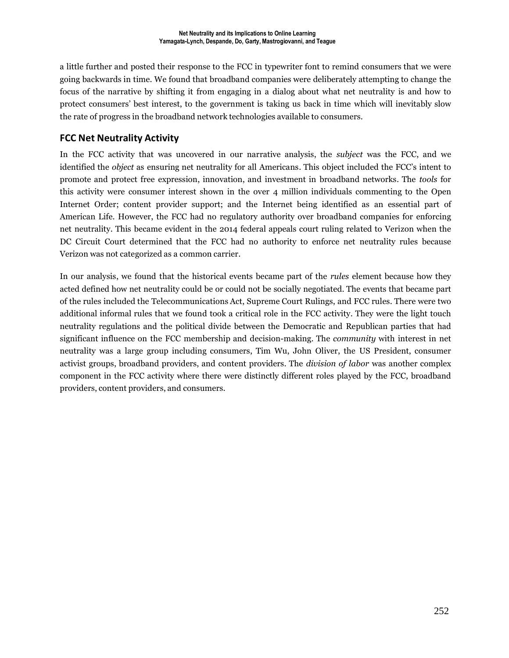a little further and posted their response to the FCC in typewriter font to remind consumers that we were going backwards in time. We found that broadband companies were deliberately attempting to change the focus of the narrative by shifting it from engaging in a dialog about what net neutrality is and how to protect consumers' best interest, to the government is taking us back in time which will inevitably slow the rate of progress in the broadband network technologies available to consumers.

#### **FCC Net Neutrality Activity**

In the FCC activity that was uncovered in our narrative analysis, the *subject* was the FCC, and we identified the *object* as ensuring net neutrality for all Americans. This object included the FCC's intent to promote and protect free expression, innovation, and investment in broadband networks. The *tools* for this activity were consumer interest shown in the over 4 million individuals commenting to the Open Internet Order; content provider support; and the Internet being identified as an essential part of American Life. However, the FCC had no regulatory authority over broadband companies for enforcing net neutrality. This became evident in the 2014 federal appeals court ruling related to Verizon when the DC Circuit Court determined that the FCC had no authority to enforce net neutrality rules because Verizon was not categorized as a common carrier.

In our analysis, we found that the historical events became part of the *rules* element because how they acted defined how net neutrality could be or could not be socially negotiated. The events that became part of the rules included the Telecommunications Act, Supreme Court Rulings, and FCC rules. There were two additional informal rules that we found took a critical role in the FCC activity. They were the light touch neutrality regulations and the political divide between the Democratic and Republican parties that had significant influence on the FCC membership and decision-making. The *community* with interest in net neutrality was a large group including consumers, Tim Wu, John Oliver, the US President, consumer activist groups, broadband providers, and content providers. The *division of labor* was another complex component in the FCC activity where there were distinctly different roles played by the FCC, broadband providers, content providers, and consumers.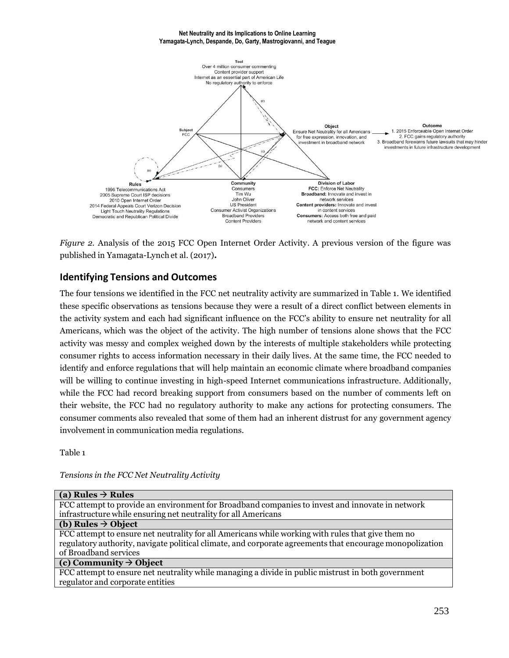#### **Net Neutrality and its Implications to Online Learning Yamagata-Lynch, Despande, Do, Garty, Mastrogiovanni, and Teague**



*Figure 2.* Analysis of the 2015 FCC Open Internet Order Activity. A previous version of the figure was published in Yamagata-Lynch et al. (2017)**.**

#### **Identifying Tensions and Outcomes**

The four tensions we identified in the FCC net neutrality activity are summarized in Table 1. We identified these specific observations as tensions because they were a result of a direct conflict between elements in the activity system and each had significant influence on the FCC's ability to ensure net neutrality for all Americans, which was the object of the activity. The high number of tensions alone shows that the FCC activity was messy and complex weighed down by the interests of multiple stakeholders while protecting consumer rights to access information necessary in their daily lives. At the same time, the FCC needed to identify and enforce regulations that will help maintain an economic climate where broadband companies will be willing to continue investing in high-speed Internet communications infrastructure. Additionally, while the FCC had record breaking support from consumers based on the number of comments left on their website, the FCC had no regulatory authority to make any actions for protecting consumers. The consumer comments also revealed that some of them had an inherent distrust for any government agency involvement in communication media regulations.

Table 1

*Tensions in the FCC Net Neutrality Activity*

| (a) Rules $\rightarrow$ Rules                                                                            |
|----------------------------------------------------------------------------------------------------------|
| FCC attempt to provide an environment for Broadband companies to invest and innovate in network          |
| infrastructure while ensuring net neutrality for all Americans                                           |
| (b) Rules $\rightarrow$ Object                                                                           |
| FCC attempt to ensure net neutrality for all Americans while working with rules that give them no        |
| regulatory authority, navigate political climate, and corporate agreements that encourage monopolization |
| of Broadband services                                                                                    |
| (c) Community $\rightarrow$ Object                                                                       |
| FCC attempt to ensure net neutrality while managing a divide in public mistrust in both government       |
| regulator and corporate entities                                                                         |
|                                                                                                          |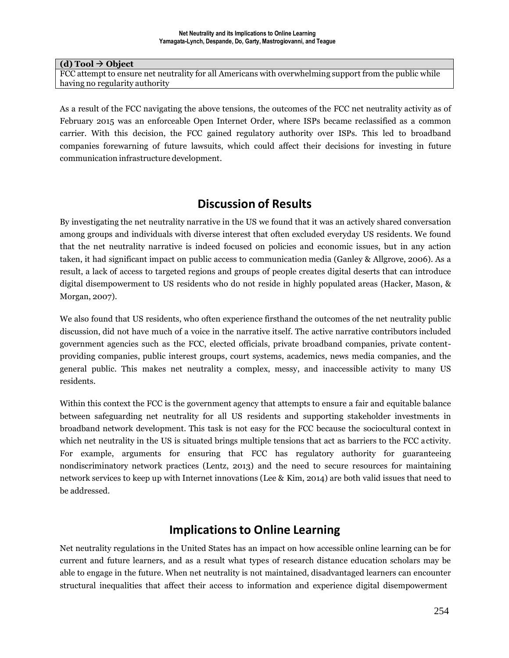#### $(d)$  **Tool**  $\rightarrow$  **Object**

FCC attempt to ensure net neutrality for all Americans with overwhelming support from the public while having no regularity authority

As a result of the FCC navigating the above tensions, the outcomes of the FCC net neutrality activity as of February 2015 was an enforceable Open Internet Order, where ISPs became reclassified as a common carrier. With this decision, the FCC gained regulatory authority over ISPs. This led to broadband companies forewarning of future lawsuits, which could affect their decisions for investing in future communication infrastructure development.

### **Discussion of Results**

By investigating the net neutrality narrative in the US we found that it was an actively shared conversation among groups and individuals with diverse interest that often excluded everyday US residents. We found that the net neutrality narrative is indeed focused on policies and economic issues, but in any action taken, it had significant impact on public access to communication media (Ganley & Allgrove, 2006). As a result, a lack of access to targeted regions and groups of people creates digital deserts that can introduce digital disempowerment to US residents who do not reside in highly populated areas (Hacker, Mason, & Morgan, 2007).

We also found that US residents, who often experience firsthand the outcomes of the net neutrality public discussion, did not have much of a voice in the narrative itself. The active narrative contributors included government agencies such as the FCC, elected officials, private broadband companies, private contentproviding companies, public interest groups, court systems, academics, news media companies, and the general public. This makes net neutrality a complex, messy, and inaccessible activity to many US residents.

Within this context the FCC is the government agency that attempts to ensure a fair and equitable balance between safeguarding net neutrality for all US residents and supporting stakeholder investments in broadband network development. This task is not easy for the FCC because the sociocultural context in which net neutrality in the US is situated brings multiple tensions that act as barriers to the FCC activity. For example, arguments for ensuring that FCC has regulatory authority for guaranteeing nondiscriminatory network practices (Lentz, 2013) and the need to secure resources for maintaining network services to keep up with Internet innovations (Lee & Kim, 2014) are both valid issues that need to be addressed.

### **Implicationsto Online Learning**

Net neutrality regulations in the United States has an impact on how accessible online learning can be for current and future learners, and as a result what types of research distance education scholars may be able to engage in the future. When net neutrality is not maintained, disadvantaged learners can encounter structural inequalities that affect their access to information and experience digital disempowerment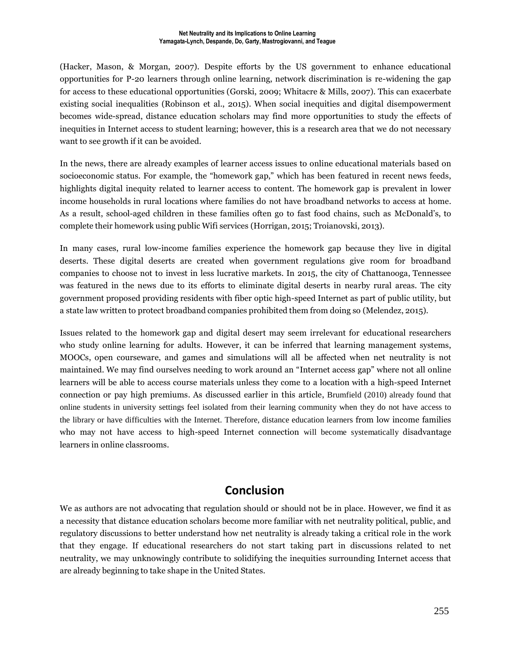(Hacker, Mason, & Morgan, 2007). Despite efforts by the US government to enhance educational opportunities for P-20 learners through online learning, network discrimination is re-widening the gap for access to these educational opportunities (Gorski, 2009; Whitacre & Mills, 2007). This can exacerbate existing social inequalities (Robinson et al., 2015). When social inequities and digital disempowerment becomes wide-spread, distance education scholars may find more opportunities to study the effects of inequities in Internet access to student learning; however, this is a research area that we do not necessary want to see growth if it can be avoided.

In the news, there are already examples of learner access issues to online educational materials based on socioeconomic status. For example, the "homework gap," which has been featured in recent news feeds, highlights digital inequity related to learner access to content. The homework gap is prevalent in lower income households in rural locations where families do not have broadband networks to access at home. As a result, school-aged children in these families often go to fast food chains, such as McDonald's, to complete their homework using public Wifi services (Horrigan, 2015; Troianovski, 2013).

In many cases, rural low-income families experience the homework gap because they live in digital deserts. These digital deserts are created when government regulations give room for broadband companies to choose not to invest in less lucrative markets. In 2015, the city of Chattanooga, Tennessee was featured in the news due to its efforts to eliminate digital deserts in nearby rural areas. The city government proposed providing residents with fiber optic high-speed Internet as part of public utility, but a state law written to protect broadband companies prohibited them from doing so (Melendez, 2015).

Issues related to the homework gap and digital desert may seem irrelevant for educational researchers who study online learning for adults. However, it can be inferred that learning management systems, MOOCs, open courseware, and games and simulations will all be affected when net neutrality is not maintained. We may find ourselves needing to work around an "Internet access gap" where not all online learners will be able to access course materials unless they come to a location with a high-speed Internet connection or pay high premiums. As discussed earlier in this article, Brumfield (2010) already found that online students in university settings feel isolated from their learning community when they do not have access to the library or have difficulties with the Internet. Therefore, distance education learners from low income families who may not have access to high-speed Internet connection will become systematically disadvantage learners in online classrooms.

### **Conclusion**

We as authors are not advocating that regulation should or should not be in place. However, we find it as a necessity that distance education scholars become more familiar with net neutrality political, public, and regulatory discussions to better understand how net neutrality is already taking a critical role in the work that they engage. If educational researchers do not start taking part in discussions related to net neutrality, we may unknowingly contribute to solidifying the inequities surrounding Internet access that are already beginning to take shape in the United States.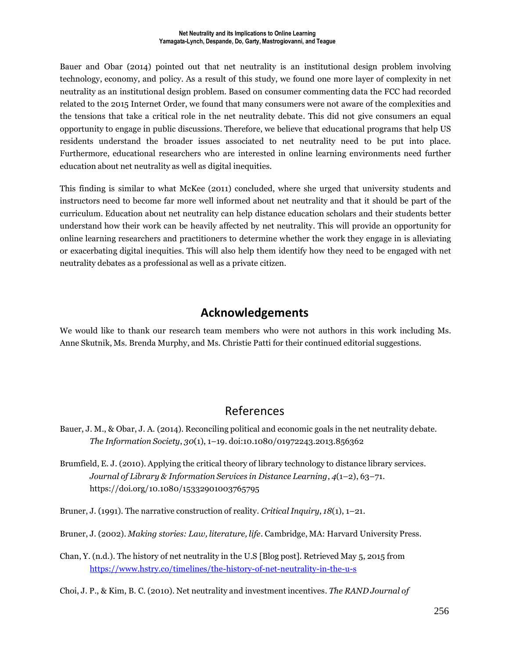Bauer and Obar (2014) pointed out that net neutrality is an institutional design problem involving technology, economy, and policy. As a result of this study, we found one more layer of complexity in net neutrality as an institutional design problem. Based on consumer commenting data the FCC had recorded related to the 2015 Internet Order, we found that many consumers were not aware of the complexities and the tensions that take a critical role in the net neutrality debate. This did not give consumers an equal opportunity to engage in public discussions. Therefore, we believe that educational programs that help US residents understand the broader issues associated to net neutrality need to be put into place. Furthermore, educational researchers who are interested in online learning environments need further education about net neutrality as well as digital inequities.

This finding is similar to what McKee (2011) concluded, where she urged that university students and instructors need to become far more well informed about net neutrality and that it should be part of the curriculum. Education about net neutrality can help distance education scholars and their students better understand how their work can be heavily affected by net neutrality. This will provide an opportunity for online learning researchers and practitioners to determine whether the work they engage in is alleviating or exacerbating digital inequities. This will also help them identify how they need to be engaged with net neutrality debates as a professional as well as a private citizen.

### **Acknowledgements**

We would like to thank our research team members who were not authors in this work including Ms. Anne Skutnik, Ms. Brenda Murphy, and Ms. Christie Patti for their continued editorial suggestions.

## References

- Bauer, J. M., & Obar, J. A. (2014). Reconciling political and economic goals in the net neutrality debate. *The Information Society*, *30*(1), 1–19. doi:10.1080/01972243.2013.856362
- Brumfield, E. J. (2010). Applying the critical theory of library technology to distance library services. *Journal of Library & Information Services in Distance Learning*, *4*(1–2), 63–71. https://doi.org/10.1080/15332901003765795
- Bruner, J. (1991). The narrative construction of reality. *Critical Inquiry*, *18*(1), 1–21.
- Bruner, J. (2002). *Making stories: Law, literature, life*. Cambridge, MA: Harvard University Press.
- Chan, Y. (n.d.). The history of net neutrality in the U.S [Blog post]. Retrieved May 5, 2015 from <https://www.hstry.co/timelines/the-history-of-net-neutrality-in-the-u-s>

Choi, J. P., & Kim, B. C. (2010). Net neutrality and investment incentives. *The RAND Journal of*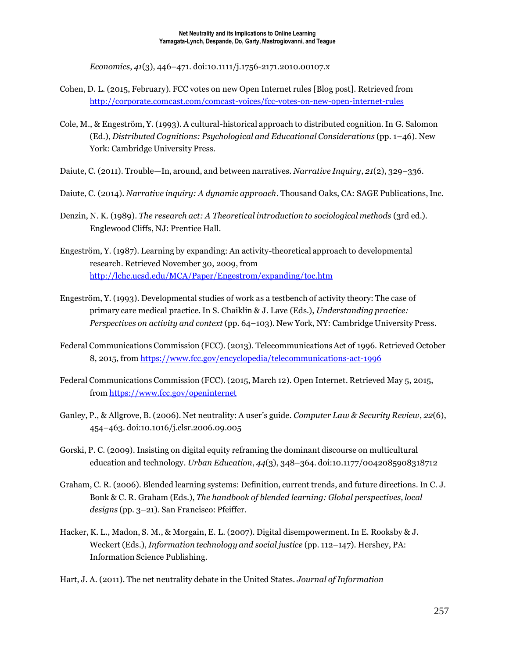*Economics*, *41*(3), 446–471. doi:10.1111/j.1756-2171.2010.00107.x

- Cohen, D. L. (2015, February). FCC votes on new Open Internet rules [Blog post]. Retrieved from <http://corporate.comcast.com/comcast-voices/fcc-votes-on-new-open-internet-rules>
- Cole, M., & Engeström, Y. (1993). A cultural-historical approach to distributed cognition. In G. Salomon (Ed.), *Distributed Cognitions: Psychological and Educational Considerations* (pp. 1–46). New York: Cambridge University Press.
- Daiute, C. (2011). Trouble—In, around, and between narratives. *Narrative Inquiry*, *21*(2), 329–336.
- Daiute, C. (2014). *Narrative inquiry: A dynamic approach*. Thousand Oaks, CA: SAGE Publications,Inc.
- Denzin, N. K. (1989). *The research act: A Theoretical introduction to sociological methods* (3rd ed.). Englewood Cliffs, NJ: Prentice Hall.
- Engeström, Y. (1987). Learning by expanding: An activity-theoretical approach to developmental research. Retrieved November 30, 2009, from <http://lchc.ucsd.edu/MCA/Paper/Engestrom/expanding/toc.htm>
- Engeström, Y. (1993). Developmental studies of work as a testbench of activity theory: The case of primary care medical practice.In S. Chaiklin & J. Lave (Eds.), *Understanding practice: Perspectives on activity and context* (pp. 64–103). New York, NY: Cambridge University Press.
- Federal Communications Commission (FCC). (2013). TelecommunicationsAct of 1996. Retrieved October 8, 2015, from <https://www.fcc.gov/encyclopedia/telecommunications-act-1996>
- Federal Communications Commission (FCC). (2015, March 12). Open Internet. Retrieved May 5, 2015, from <https://www.fcc.gov/openinternet>
- Ganley, P., & Allgrove, B. (2006). Net neutrality: A user's guide. *Computer Law & Security Review*, *22*(6), 454–463. doi:10.1016/j.clsr.2006.09.005
- Gorski, P. C. (2009). Insisting on digital equity reframing the dominant discourse on multicultural education and technology. *Urban Education*, *44*(3), 348–364. doi:10.1177/0042085908318712
- Graham, C. R. (2006). Blended learning systems: Definition, current trends, and future directions.In C. J. Bonk & C. R. Graham (Eds.), *The handbook of blended learning: Global perspectives, local designs* (pp. 3–21). San Francisco: Pfeiffer.
- Hacker, K. L., Madon, S. M., & Morgain, E. L. (2007). Digital disempowerment.In E. Rooksby & J. Weckert (Eds.), *Information technology and social justice* (pp. 112–147). Hershey, PA: Information Science Publishing.
- Hart, J. A. (2011). The net neutrality debate in the United States. *Journal of Information*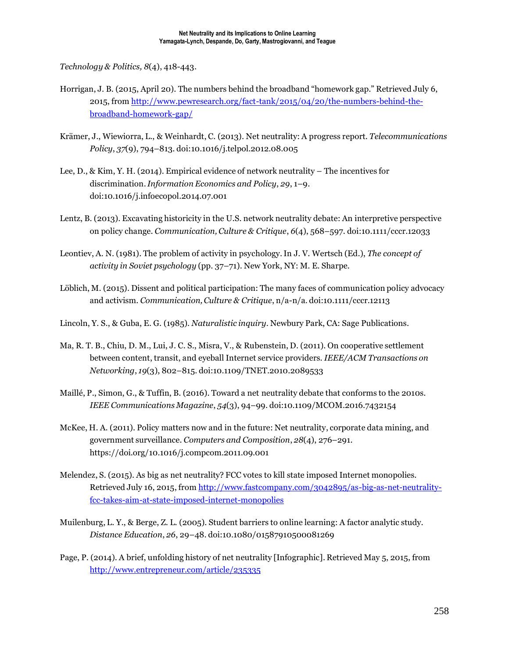*Technology & Politics, 8*(4), 418-443.

- Horrigan, J. B. (2015, April 20). The numbers behind the broadband "homework gap." Retrieved July 6, 2015, from [http://www.pewresearch.org/fact-tank/2015/04/20/the-numbers-behind-the](http://www.pewresearch.org/fact-tank/2015/04/20/the-numbers-behind-the-broadband-homework-gap/)[broadband-homework-gap/](http://www.pewresearch.org/fact-tank/2015/04/20/the-numbers-behind-the-broadband-homework-gap/)
- Krämer, J., Wiewiorra, L., & Weinhardt, C. (2013). Net neutrality: A progress report. *Telecommunications Policy*, *37*(9), 794–813. doi:10.1016/j.telpol.2012.08.005
- Lee, D., & Kim, Y. H. (2014). Empirical evidence of network neutrality The incentives for discrimination.*Information Economics and Policy*, *29*, 1–9. doi:10.1016/j.infoecopol.2014.07.001
- Lentz, B. (2013). Excavating historicity in the U.S. network neutrality debate: An interpretive perspective on policy change. *Communication, Culture & Critique*, *6*(4), 568–597. doi:10.1111/cccr.12033
- Leontiev, A. N. (1981). The problem of activity in psychology.In J. V. Wertsch (Ed.), *The concept of activity in Soviet psychology* (pp. 37–71). New York, NY: M. E. Sharpe.
- Löblich, M. (2015). Dissent and political participation: The many faces of communication policy advocacy and activism. *Communication,Culture & Critique*, n/a-n/a. doi:10.1111/cccr.12113
- Lincoln, Y. S., & Guba, E. G. (1985). *Naturalistic inquiry*. Newbury Park, CA: Sage Publications.
- Ma, R. T. B., Chiu, D. M., Lui, J. C. S., Misra, V., & Rubenstein, D. (2011). On cooperative settlement between content, transit, and eyeball Internet service providers. *IEEE/ACM Transactions on Networking*, *19*(3), 802–815. doi:10.1109/TNET.2010.2089533
- Maillé, P., Simon, G., & Tuffin, B. (2016). Toward a net neutrality debate that conforms to the 2010s. *IEEE Communications Magazine*, *54*(3), 94–99. doi:10.1109/MCOM.2016.7432154
- McKee, H. A. (2011). Policy matters now and in the future: Net neutrality, corporate data mining, and government surveillance. *Computers and Composition*, *28*(4), 276–291. https://doi.org/10.1016/j.compcom.2011.09.001
- Melendez, S. (2015). As big as net neutrality? FCC votes to kill state imposed Internet monopolies. Retrieved July 16, 2015, from [http://www.fastcompany.com/3042895/as-big-as-net-neutrality](http://www.fastcompany.com/3042895/as-big-as-net-neutrality-fcc-takes-aim-at-state-imposed-internet-monopolies)[fcc-takes-aim-at-state-imposed-internet-monopolies](http://www.fastcompany.com/3042895/as-big-as-net-neutrality-fcc-takes-aim-at-state-imposed-internet-monopolies)
- Muilenburg, L. Y., & Berge, Z. L. (2005). Student barriers to online learning: A factor analytic study. *Distance Education*, *26*, 29–48. doi:10.1080/01587910500081269
- Page, P. (2014). A brief, unfolding history of net neutrality [Infographic]. Retrieved May 5, 2015, from <http://www.entrepreneur.com/article/235335>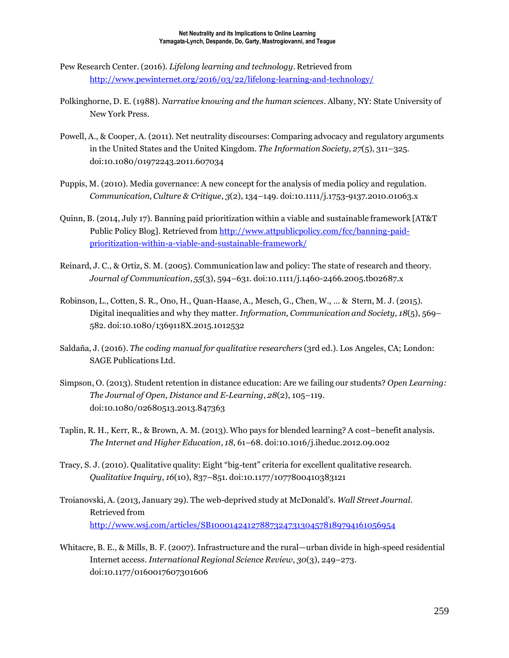- Pew Research Center. (2016). *Lifelong learning and technology*. Retrieved from <http://www.pewinternet.org/2016/03/22/lifelong-learning-and-technology/>
- Polkinghorne, D. E. (1988). *Narrative knowing and the human sciences*. Albany, NY: State University of New York Press.
- Powell, A., & Cooper, A. (2011). Net neutrality discourses: Comparing advocacy and regulatory arguments in the United States and the United Kingdom. *The Information Society*, *27*(5), 311–325. doi:10.1080/01972243.2011.607034
- Puppis, M. (2010). Media governance: A new concept for the analysis of media policy and regulation. *Communication, Culture & Critique*, *3*(2), 134–149. doi:10.1111/j.1753-9137.2010.01063.x
- Quinn, B. (2014, July 17). Banning paid prioritization within a viable and sustainable framework [AT&T Public Policy Blog]. Retrieved from [http://www.attpublicpolicy.com/fcc/banning-paid](http://www.attpublicpolicy.com/fcc/banning-paid-prioritization-within-a-viable-and-sustainable-framework/)[prioritization-within-a-viable-and-sustainable-framework/](http://www.attpublicpolicy.com/fcc/banning-paid-prioritization-within-a-viable-and-sustainable-framework/)
- Reinard, J. C., & Ortiz, S. M. (2005). Communication law and policy: The state of research and theory. *Journal of Communication*, *55*(3), 594–631. doi:10.1111/j.1460-2466.2005.tb02687.x
- Robinson, L., Cotten, S. R., Ono, H., Quan-Haase, A., Mesch, G., Chen, W., … & Stern, M. J. (2015). Digital inequalities and why they matter. *Information, Communication and Society*, *18*(5), 569– 582. doi:10.1080/1369118X.2015.1012532
- Saldaña, J. (2016). *The coding manual for qualitative researchers* (3rd ed.). Los Angeles, CA; London: SAGE Publications Ltd.
- Simpson, O. (2013). Student retention in distance education: Are we failing our students? *Open Learning: The Journal of Open, Distance and E-Learning*, *28*(2), 105–119. doi:10.1080/02680513.2013.847363
- Taplin, R. H., Kerr, R., & Brown, A. M. (2013). Who pays for blended learning? A cost–benefit analysis. *The Internet and Higher Education*, *18*, 61–68. doi:10.1016/j.iheduc.2012.09.002
- Tracy, S. J. (2010). Qualitative quality: Eight "big-tent" criteria for excellent qualitative research. *Qualitative Inquiry*, *16*(10), 837–851. doi:10.1177/1077800410383121
- Troianovski, A. (2013, January 29). The web-deprived study at McDonald's. *Wall Street Journal*. Retrieved from <http://www.wsj.com/articles/SB10001424127887324731304578189794161056954>
- Whitacre, B. E., & Mills, B. F. (2007). Infrastructure and the rural—urban divide in high-speed residential Internet access. *International Regional Science Review*, *30*(3), 249–273. doi:10.1177/0160017607301606